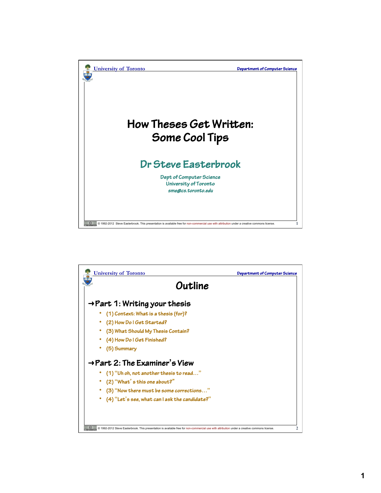

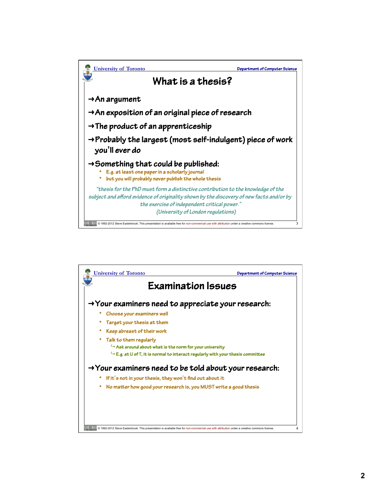

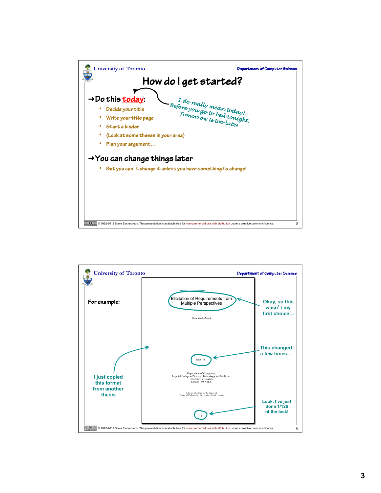

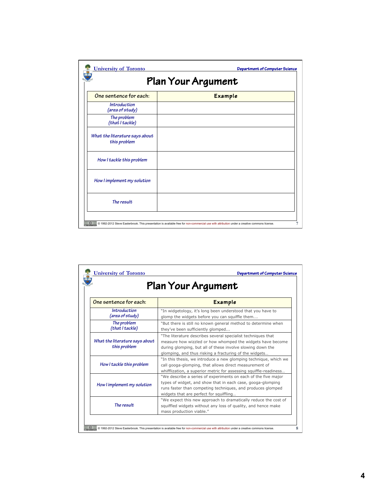| <b>University of Toronto</b><br>Department of Computer Science<br>Plan Your Argument |                |  |  |  |
|--------------------------------------------------------------------------------------|----------------|--|--|--|
| One sentence for each:                                                               | <b>Example</b> |  |  |  |
| Introduction<br>(area of study)                                                      |                |  |  |  |
| The problem<br>(that I tackle)                                                       |                |  |  |  |
| What the literature says about<br>this problem                                       |                |  |  |  |
| How I tackle this problem                                                            |                |  |  |  |
| How I implement my solution                                                          |                |  |  |  |
| The result                                                                           |                |  |  |  |

| Plan Your Argument                             |                                                                                                                                                                                                                                                    |  |  |  |  |
|------------------------------------------------|----------------------------------------------------------------------------------------------------------------------------------------------------------------------------------------------------------------------------------------------------|--|--|--|--|
| One sentence for each:                         | <b>Example</b>                                                                                                                                                                                                                                     |  |  |  |  |
| Introduction<br>(area of study)                | "In widgetology, it's long been understood that you have to<br>glomp the widgets before you can squiffle them                                                                                                                                      |  |  |  |  |
| The problem<br>(that I tackle)                 | "But there is still no known general method to determine when<br>they've been sufficiently glomped                                                                                                                                                 |  |  |  |  |
| What the literature says about<br>this problem | "The literature describes several specialist techniques that<br>measure how wizzled or how whomped the widgets have become<br>during glomping, but all of these involve slowing down the<br>glomping, and thus risking a fracturing of the widgets |  |  |  |  |
| How I tackle this problem                      | "In this thesis, we introduce a new glomping technique, which we<br>call googa-glomping, that allows direct measurement of<br>whifflization, a superior metric for assessing squiffle-readiness                                                    |  |  |  |  |
| How I implement my solution                    | "We describe a series of experiments on each of the five major<br>types of widget, and show that in each case, googa-glomping<br>runs faster than competing techniques, and produces glomped<br>widgets that are perfect for squiffling            |  |  |  |  |
| The result                                     | "We expect this new approach to dramatically reduce the cost of<br>squiffled widgets without any loss of quality, and hence make<br>mass production viable."                                                                                       |  |  |  |  |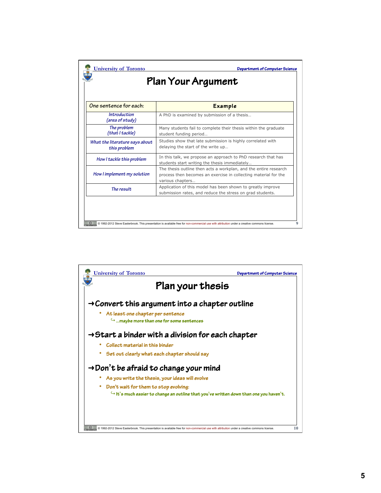| One sentence for each:                         | <b>Example</b>                                                                                                                                          |
|------------------------------------------------|---------------------------------------------------------------------------------------------------------------------------------------------------------|
| Introduction<br>(area of study)                | A PhD is examined by submission of a thesis                                                                                                             |
| The problem<br>(that I tackle)                 | Many students fail to complete their thesis within the graduate<br>student funding period                                                               |
| What the literature says about<br>this problem | Studies show that late submission is highly correlated with<br>delaying the start of the write up                                                       |
| How I tackle this problem                      | In this talk, we propose an approach to PhD research that has<br>students start writing the thesis immediately                                          |
| How I implement my solution                    | The thesis outline then acts a workplan, and the entire research<br>process then becomes an exercise in collecting material for the<br>various chapters |
| The result                                     | Application of this model has been shown to greatly improve<br>submission rates, and reduce the stress on grad students.                                |

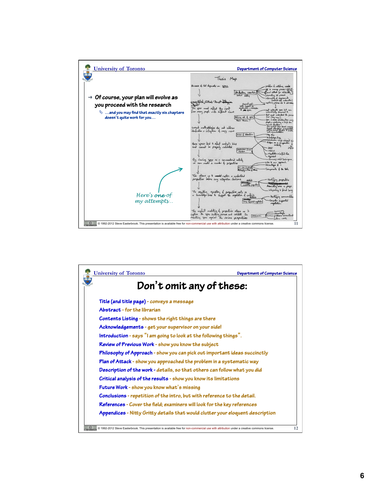

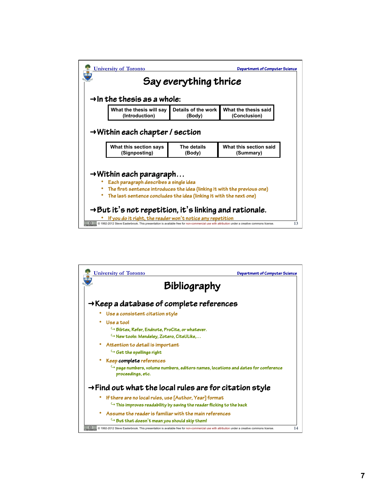|                       | <b>University of Toronto</b>                                                  | Department of Computer Science |                                                                           |  |  |  |  |
|-----------------------|-------------------------------------------------------------------------------|--------------------------------|---------------------------------------------------------------------------|--|--|--|--|
| Say everything thrice |                                                                               |                                |                                                                           |  |  |  |  |
|                       | $\rightarrow$ In the thesis as a whole:                                       |                                |                                                                           |  |  |  |  |
|                       | What the thesis will say<br>(Introduction)                                    | Details of the work<br>(Body)  | What the thesis said<br>(Conclusion)                                      |  |  |  |  |
|                       | $\rightarrow$ Within each chapter / section                                   |                                |                                                                           |  |  |  |  |
|                       | What this section says<br>(Signposting)                                       | The details<br>(Body)          | What this section said<br>(Summary)                                       |  |  |  |  |
|                       | $\rightarrow$ Within each paragraph<br>Each paragraph describes a single idea |                                | The first sentence introduces the idea (linking it with the previous one) |  |  |  |  |

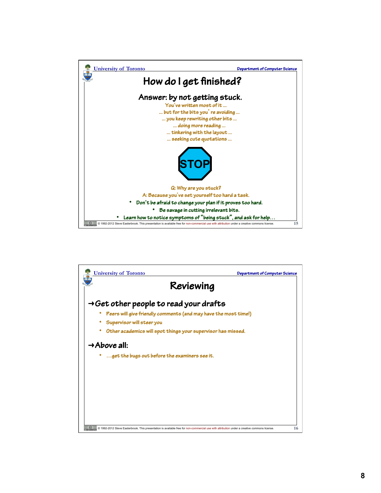

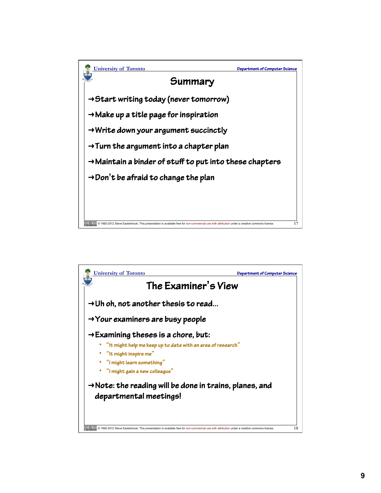

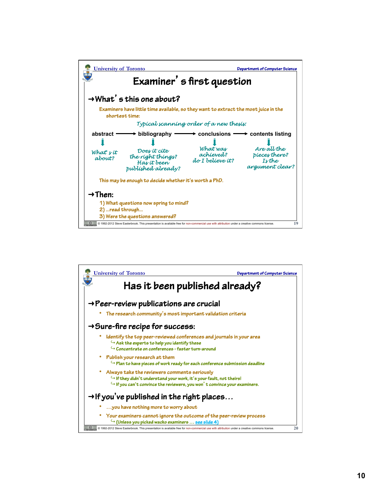

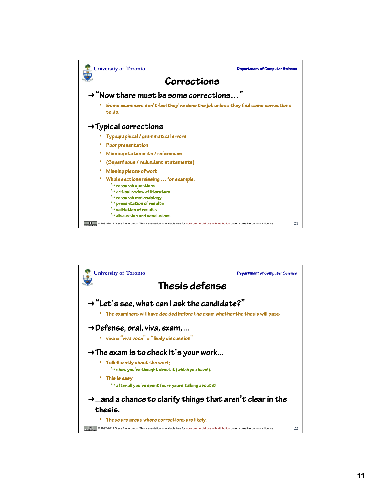

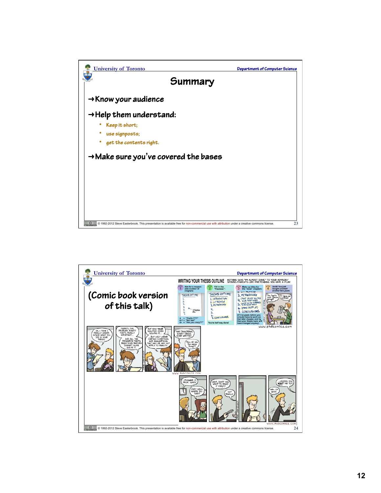